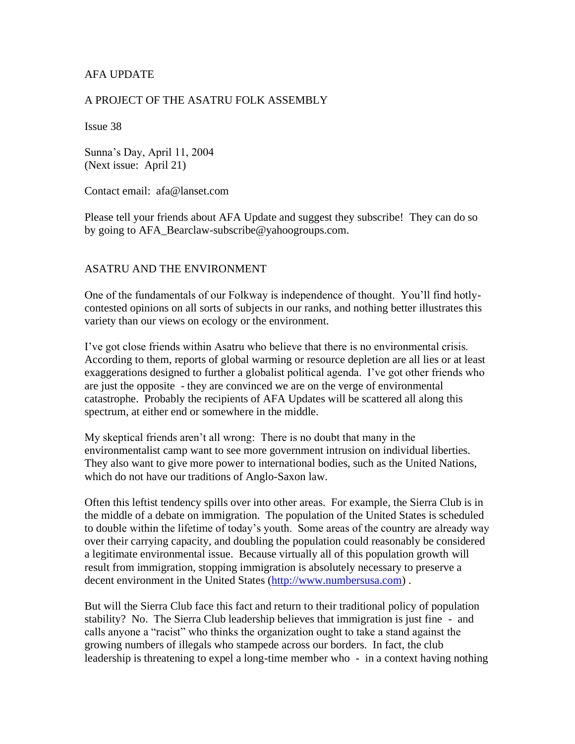## AFA UPDATE

### A PROJECT OF THE ASATRU FOLK ASSEMBLY

Issue 38

Sunna's Day, April 11, 2004 (Next issue: April 21)

Contact email: afa@lanset.com

Please tell your friends about AFA Update and suggest they subscribe! They can do so by going to AFA\_Bearclaw-subscribe@yahoogroups.com.

#### ASATRU AND THE ENVIRONMENT

One of the fundamentals of our Folkway is independence of thought. You'll find hotlycontested opinions on all sorts of subjects in our ranks, and nothing better illustrates this variety than our views on ecology or the environment.

I've got close friends within Asatru who believe that there is no environmental crisis. According to them, reports of global warming or resource depletion are all lies or at least exaggerations designed to further a globalist political agenda. I've got other friends who are just the opposite - they are convinced we are on the verge of environmental catastrophe. Probably the recipients of AFA Updates will be scattered all along this spectrum, at either end or somewhere in the middle.

My skeptical friends aren't all wrong: There is no doubt that many in the environmentalist camp want to see more government intrusion on individual liberties. They also want to give more power to international bodies, such as the United Nations, which do not have our traditions of Anglo-Saxon law.

Often this leftist tendency spills over into other areas. For example, the Sierra Club is in the middle of a debate on immigration. The population of the United States is scheduled to double within the lifetime of today's youth. Some areas of the country are already way over their carrying capacity, and doubling the population could reasonably be considered a legitimate environmental issue. Because virtually all of this population growth will result from immigration, stopping immigration is absolutely necessary to preserve a decent environment in the United States [\(http://www.numbersusa.com\)](http://www.numbersusa.com/).

But will the Sierra Club face this fact and return to their traditional policy of population stability? No. The Sierra Club leadership believes that immigration is just fine - and calls anyone a "racist" who thinks the organization ought to take a stand against the growing numbers of illegals who stampede across our borders. In fact, the club leadership is threatening to expel a long-time member who - in a context having nothing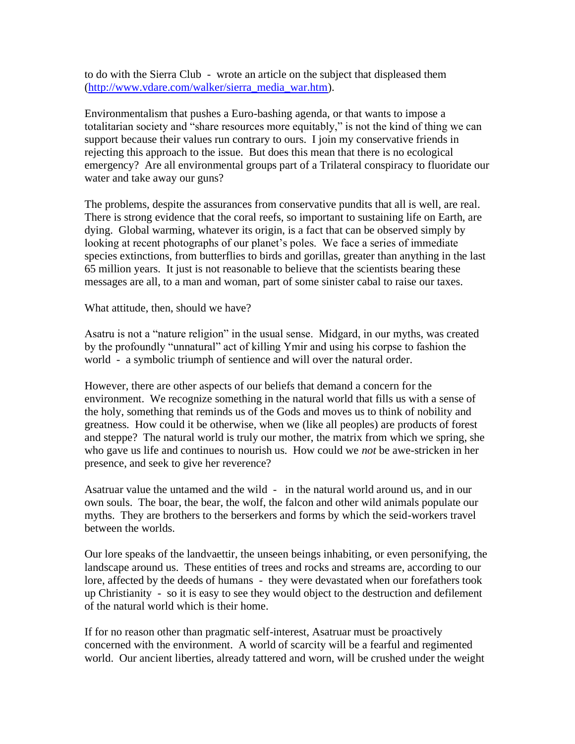to do with the Sierra Club - wrote an article on the subject that displeased them [\(http://www.vdare.com/walker/sierra\\_media\\_war.htm\)](http://www.vdare.com/walker/sierra_media_war.htm).

Environmentalism that pushes a Euro-bashing agenda, or that wants to impose a totalitarian society and "share resources more equitably," is not the kind of thing we can support because their values run contrary to ours. I join my conservative friends in rejecting this approach to the issue. But does this mean that there is no ecological emergency? Are all environmental groups part of a Trilateral conspiracy to fluoridate our water and take away our guns?

The problems, despite the assurances from conservative pundits that all is well, are real. There is strong evidence that the coral reefs, so important to sustaining life on Earth, are dying. Global warming, whatever its origin, is a fact that can be observed simply by looking at recent photographs of our planet's poles. We face a series of immediate species extinctions, from butterflies to birds and gorillas, greater than anything in the last 65 million years. It just is not reasonable to believe that the scientists bearing these messages are all, to a man and woman, part of some sinister cabal to raise our taxes.

What attitude, then, should we have?

Asatru is not a "nature religion" in the usual sense. Midgard, in our myths, was created by the profoundly "unnatural" act of killing Ymir and using his corpse to fashion the world - a symbolic triumph of sentience and will over the natural order.

However, there are other aspects of our beliefs that demand a concern for the environment. We recognize something in the natural world that fills us with a sense of the holy, something that reminds us of the Gods and moves us to think of nobility and greatness. How could it be otherwise, when we (like all peoples) are products of forest and steppe? The natural world is truly our mother, the matrix from which we spring, she who gave us life and continues to nourish us. How could we *not* be awe-stricken in her presence, and seek to give her reverence?

Asatruar value the untamed and the wild - in the natural world around us, and in our own souls. The boar, the bear, the wolf, the falcon and other wild animals populate our myths. They are brothers to the berserkers and forms by which the seid-workers travel between the worlds.

Our lore speaks of the landvaettir, the unseen beings inhabiting, or even personifying, the landscape around us. These entities of trees and rocks and streams are, according to our lore, affected by the deeds of humans - they were devastated when our forefathers took up Christianity - so it is easy to see they would object to the destruction and defilement of the natural world which is their home.

If for no reason other than pragmatic self-interest, Asatruar must be proactively concerned with the environment. A world of scarcity will be a fearful and regimented world. Our ancient liberties, already tattered and worn, will be crushed under the weight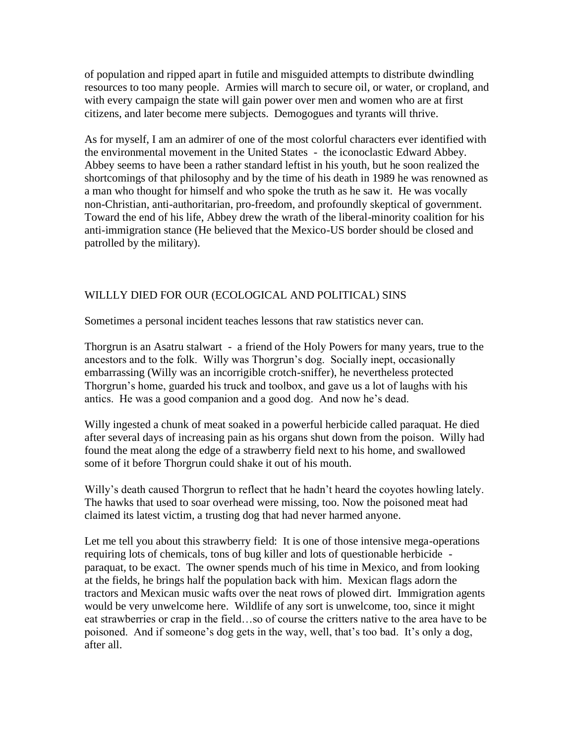of population and ripped apart in futile and misguided attempts to distribute dwindling resources to too many people. Armies will march to secure oil, or water, or cropland, and with every campaign the state will gain power over men and women who are at first citizens, and later become mere subjects. Demogogues and tyrants will thrive.

As for myself, I am an admirer of one of the most colorful characters ever identified with the environmental movement in the United States - the iconoclastic Edward Abbey. Abbey seems to have been a rather standard leftist in his youth, but he soon realized the shortcomings of that philosophy and by the time of his death in 1989 he was renowned as a man who thought for himself and who spoke the truth as he saw it. He was vocally non-Christian, anti-authoritarian, pro-freedom, and profoundly skeptical of government. Toward the end of his life, Abbey drew the wrath of the liberal-minority coalition for his anti-immigration stance (He believed that the Mexico-US border should be closed and patrolled by the military).

# WILLLY DIED FOR OUR (ECOLOGICAL AND POLITICAL) SINS

Sometimes a personal incident teaches lessons that raw statistics never can.

Thorgrun is an Asatru stalwart - a friend of the Holy Powers for many years, true to the ancestors and to the folk. Willy was Thorgrun's dog. Socially inept, occasionally embarrassing (Willy was an incorrigible crotch-sniffer), he nevertheless protected Thorgrun's home, guarded his truck and toolbox, and gave us a lot of laughs with his antics. He was a good companion and a good dog. And now he's dead.

Willy ingested a chunk of meat soaked in a powerful herbicide called paraquat. He died after several days of increasing pain as his organs shut down from the poison. Willy had found the meat along the edge of a strawberry field next to his home, and swallowed some of it before Thorgrun could shake it out of his mouth.

Willy's death caused Thorgrun to reflect that he hadn't heard the coyotes howling lately. The hawks that used to soar overhead were missing, too. Now the poisoned meat had claimed its latest victim, a trusting dog that had never harmed anyone.

Let me tell you about this strawberry field: It is one of those intensive mega-operations requiring lots of chemicals, tons of bug killer and lots of questionable herbicide paraquat, to be exact. The owner spends much of his time in Mexico, and from looking at the fields, he brings half the population back with him. Mexican flags adorn the tractors and Mexican music wafts over the neat rows of plowed dirt. Immigration agents would be very unwelcome here. Wildlife of any sort is unwelcome, too, since it might eat strawberries or crap in the field…so of course the critters native to the area have to be poisoned. And if someone's dog gets in the way, well, that's too bad. It's only a dog, after all.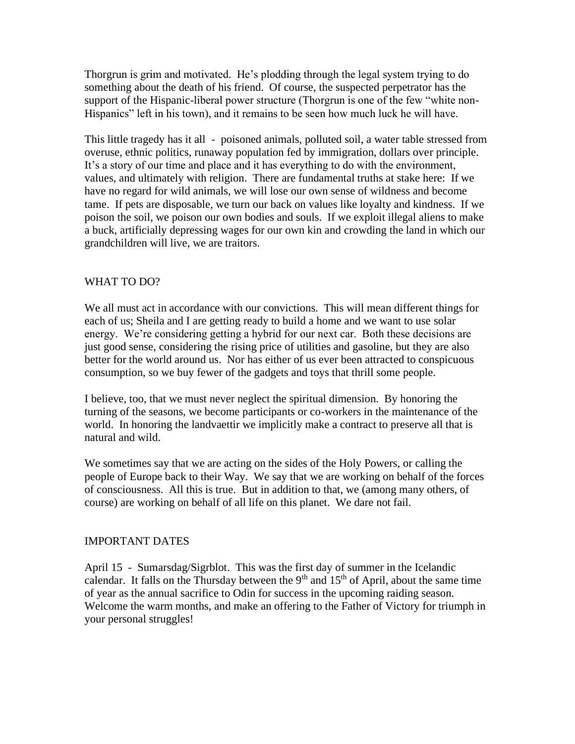Thorgrun is grim and motivated. He's plodding through the legal system trying to do something about the death of his friend. Of course, the suspected perpetrator has the support of the Hispanic-liberal power structure (Thorgrun is one of the few "white non-Hispanics" left in his town), and it remains to be seen how much luck he will have.

This little tragedy has it all - poisoned animals, polluted soil, a water table stressed from overuse, ethnic politics, runaway population fed by immigration, dollars over principle. It's a story of our time and place and it has everything to do with the environment, values, and ultimately with religion. There are fundamental truths at stake here: If we have no regard for wild animals, we will lose our own sense of wildness and become tame. If pets are disposable, we turn our back on values like loyalty and kindness. If we poison the soil, we poison our own bodies and souls. If we exploit illegal aliens to make a buck, artificially depressing wages for our own kin and crowding the land in which our grandchildren will live, we are traitors.

## WHAT TO DO?

We all must act in accordance with our convictions. This will mean different things for each of us; Sheila and I are getting ready to build a home and we want to use solar energy. We're considering getting a hybrid for our next car. Both these decisions are just good sense, considering the rising price of utilities and gasoline, but they are also better for the world around us. Nor has either of us ever been attracted to conspicuous consumption, so we buy fewer of the gadgets and toys that thrill some people.

I believe, too, that we must never neglect the spiritual dimension. By honoring the turning of the seasons, we become participants or co-workers in the maintenance of the world. In honoring the landvaettir we implicitly make a contract to preserve all that is natural and wild.

We sometimes say that we are acting on the sides of the Holy Powers, or calling the people of Europe back to their Way. We say that we are working on behalf of the forces of consciousness. All this is true. But in addition to that, we (among many others, of course) are working on behalf of all life on this planet. We dare not fail.

### IMPORTANT DATES

April 15 - Sumarsdag/Sigrblot. This was the first day of summer in the Icelandic calendar. It falls on the Thursday between the  $9<sup>th</sup>$  and  $15<sup>th</sup>$  of April, about the same time of year as the annual sacrifice to Odin for success in the upcoming raiding season. Welcome the warm months, and make an offering to the Father of Victory for triumph in your personal struggles!